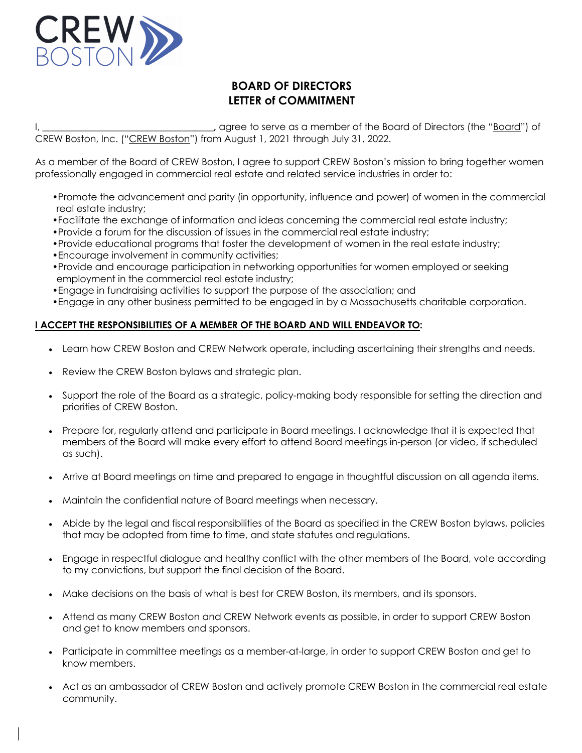

## **BOARD OF DIRECTORS LETTER of COMMITMENT**

I, \_\_\_\_\_\_\_\_\_\_\_\_\_\_\_\_\_\_\_\_\_\_\_\_\_\_\_\_\_\_\_\_\_\_\_\_**,** agree to serve as a member of the Board of Directors (the "Board") of CREW Boston, Inc. ("CREW Boston") from August 1, 2021 through July 31, 2022.

As a member of the Board of CREW Boston, I agree to support CREW Boston's mission to bring together women professionally engaged in commercial real estate and related service industries in order to:

- •Promote the advancement and parity (in opportunity, influence and power) of women in the commercial real estate industry;
- •Facilitate the exchange of information and ideas concerning the commercial real estate industry;
- •Provide a forum for the discussion of issues in the commercial real estate industry;
- •Provide educational programs that foster the development of women in the real estate industry;
- •Encourage involvement in community activities;
- •Provide and encourage participation in networking opportunities for women employed or seeking employment in the commercial real estate industry;
- •Engage in fundraising activities to support the purpose of the association; and
- •Engage in any other business permitted to be engaged in by a Massachusetts charitable corporation.

## **I ACCEPT THE RESPONSIBILITIES OF A MEMBER OF THE BOARD AND WILL ENDEAVOR TO:**

- Learn how CREW Boston and CREW Network operate, including ascertaining their strengths and needs.
- Review the CREW Boston bylaws and strategic plan.
- Support the role of the Board as a strategic, policy-making body responsible for setting the direction and priorities of CREW Boston.
- Prepare for, regularly attend and participate in Board meetings. I acknowledge that it is expected that members of the Board will make every effort to attend Board meetings in-person (or video, if scheduled as such).
- Arrive at Board meetings on time and prepared to engage in thoughtful discussion on all agenda items.
- Maintain the confidential nature of Board meetings when necessary.
- Abide by the legal and fiscal responsibilities of the Board as specified in the CREW Boston bylaws, policies that may be adopted from time to time, and state statutes and regulations.
- Engage in respectful dialogue and healthy conflict with the other members of the Board, vote according to my convictions, but support the final decision of the Board.
- Make decisions on the basis of what is best for CREW Boston, its members, and its sponsors.
- Attend as many CREW Boston and CREW Network events as possible, in order to support CREW Boston and get to know members and sponsors.
- Participate in committee meetings as a member-at-large, in order to support CREW Boston and get to know members.
- Act as an ambassador of CREW Boston and actively promote CREW Boston in the commercial real estate community.